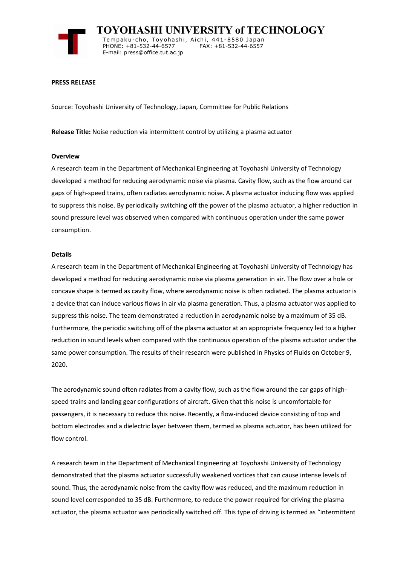

 **TOYOHASHI UNIVERSITY of TECHNOLOGY** Temp a k u-c h o , To y oh a shi , A i ch i , 4 41-858 0 Ja p an PHONE: +81-532-44-6577 E-mail: press@office.tut.ac.jp

### **PRESS RELEASE**

Source: Toyohashi University of Technology, Japan, Committee for Public Relations

**Release Title:** Noise reduction via intermittent control by utilizing a plasma actuator

#### **Overview**

A research team in the Department of Mechanical Engineering at Toyohashi University of Technology developed a method for reducing aerodynamic noise via plasma. Cavity flow, such as the flow around car gaps of high-speed trains, often radiates aerodynamic noise. A plasma actuator inducing flow was applied to suppress this noise. By periodically switching off the power of the plasma actuator, a higher reduction in sound pressure level was observed when compared with continuous operation under the same power consumption.

#### **Details**

A research team in the Department of Mechanical Engineering at Toyohashi University of Technology has developed a method for reducing aerodynamic noise via plasma generation in air. The flow over a hole or concave shape is termed as cavity flow, where aerodynamic noise is often radiated. The plasma actuator is a device that can induce various flows in air via plasma generation. Thus, a plasma actuator was applied to suppress this noise. The team demonstrated a reduction in aerodynamic noise by a maximum of 35 dB. Furthermore, the periodic switching off of the plasma actuator at an appropriate frequency led to a higher reduction in sound levels when compared with the continuous operation of the plasma actuator under the same power consumption. The results of their research were published in Physics of Fluids on October 9, 2020.

The aerodynamic sound often radiates from a cavity flow, such as the flow around the car gaps of highspeed trains and landing gear configurations of aircraft. Given that this noise is uncomfortable for passengers, it is necessary to reduce this noise. Recently, a flow-induced device consisting of top and bottom electrodes and a dielectric layer between them, termed as plasma actuator, has been utilized for flow control.

A research team in the Department of Mechanical Engineering at Toyohashi University of Technology demonstrated that the plasma actuator successfully weakened vortices that can cause intense levels of sound. Thus, the aerodynamic noise from the cavity flow was reduced, and the maximum reduction in sound level corresponded to 35 dB. Furthermore, to reduce the power required for driving the plasma actuator, the plasma actuator was periodically switched off. This type of driving is termed as "intermittent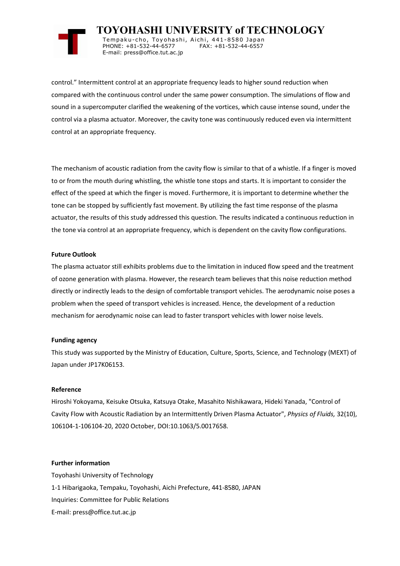

 **TOYOHASHI UNIVERSITY of TECHNOLOGY** Tempaku-cho, Toyohashi, Aichi, 441-8580 Japan<br>PHONE: +81-532-44-6577 FAX: +81-532-44-6557 PHONE: +81-532-44-6577 E-mail: press@office.tut.ac.jp

control." Intermittent control at an appropriate frequency leads to higher sound reduction when compared with the continuous control under the same power consumption. The simulations of flow and sound in a supercomputer clarified the weakening of the vortices, which cause intense sound, under the control via a plasma actuator. Moreover, the cavity tone was continuously reduced even via intermittent control at an appropriate frequency.

The mechanism of acoustic radiation from the cavity flow is similar to that of a whistle. If a finger is moved to or from the mouth during whistling, the whistle tone stops and starts. It is important to consider the effect of the speed at which the finger is moved. Furthermore, it is important to determine whether the tone can be stopped by sufficiently fast movement. By utilizing the fast time response of the plasma actuator, the results of this study addressed this question. The results indicated a continuous reduction in the tone via control at an appropriate frequency, which is dependent on the cavity flow configurations.

# **Future Outlook**

The plasma actuator still exhibits problems due to the limitation in induced flow speed and the treatment of ozone generation with plasma. However, the research team believes that this noise reduction method directly or indirectly leads to the design of comfortable transport vehicles. The aerodynamic noise poses a problem when the speed of transport vehicles is increased. Hence, the development of a reduction mechanism for aerodynamic noise can lead to faster transport vehicles with lower noise levels.

# **Funding agency**

This study was supported by the Ministry of Education, Culture, Sports, Science, and Technology (MEXT) of Japan under JP17K06153.

# **Reference**

Hiroshi Yokoyama, Keisuke Otsuka, Katsuya Otake, Masahito Nishikawara, Hideki Yanada, "Control of Cavity Flow with Acoustic Radiation by an Intermittently Driven Plasma Actuator", *Physics of Fluids,* 32(10), 106104-1-106104-20, 2020 October, DOI:10.1063/5.0017658.

### **Further information**

Toyohashi University of Technology 1-1 Hibarigaoka, Tempaku, Toyohashi, Aichi Prefecture, 441-8580, JAPAN Inquiries: Committee for Public Relations E-mail: press@office.tut.ac.jp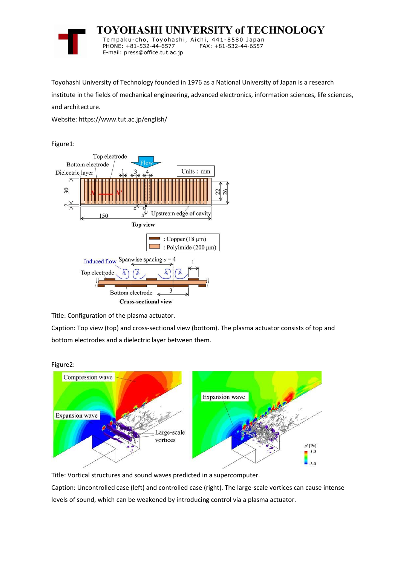

 **TOYOHASHI UNIVERSITY of TECHNOLOGY** Tempaku-cho, Toyohashi, Aichi, 441-8580 Japan<br>PHONE: +81-532-44-6577 FAX: +81-532-44-6557

PHONE: +81-532-44-6577 E-mail: press@office.tut.ac.jp

Toyohashi University of Technology founded in 1976 as a National University of Japan is a research

institute in the fields of mechanical engineering, advanced electronics, information sciences, life sciences, and architecture.

Website: https://www.tut.ac.jp/english/

Figure1:



Title: Configuration of the plasma actuator.

Caption: Top view (top) and cross-sectional view (bottom). The plasma actuator consists of top and bottom electrodes and a dielectric layer between them.



Title: Vortical structures and sound waves predicted in a supercomputer.

Caption: Uncontrolled case (left) and controlled case (right). The large-scale vortices can cause intense levels of sound, which can be weakened by introducing control via a plasma actuator.